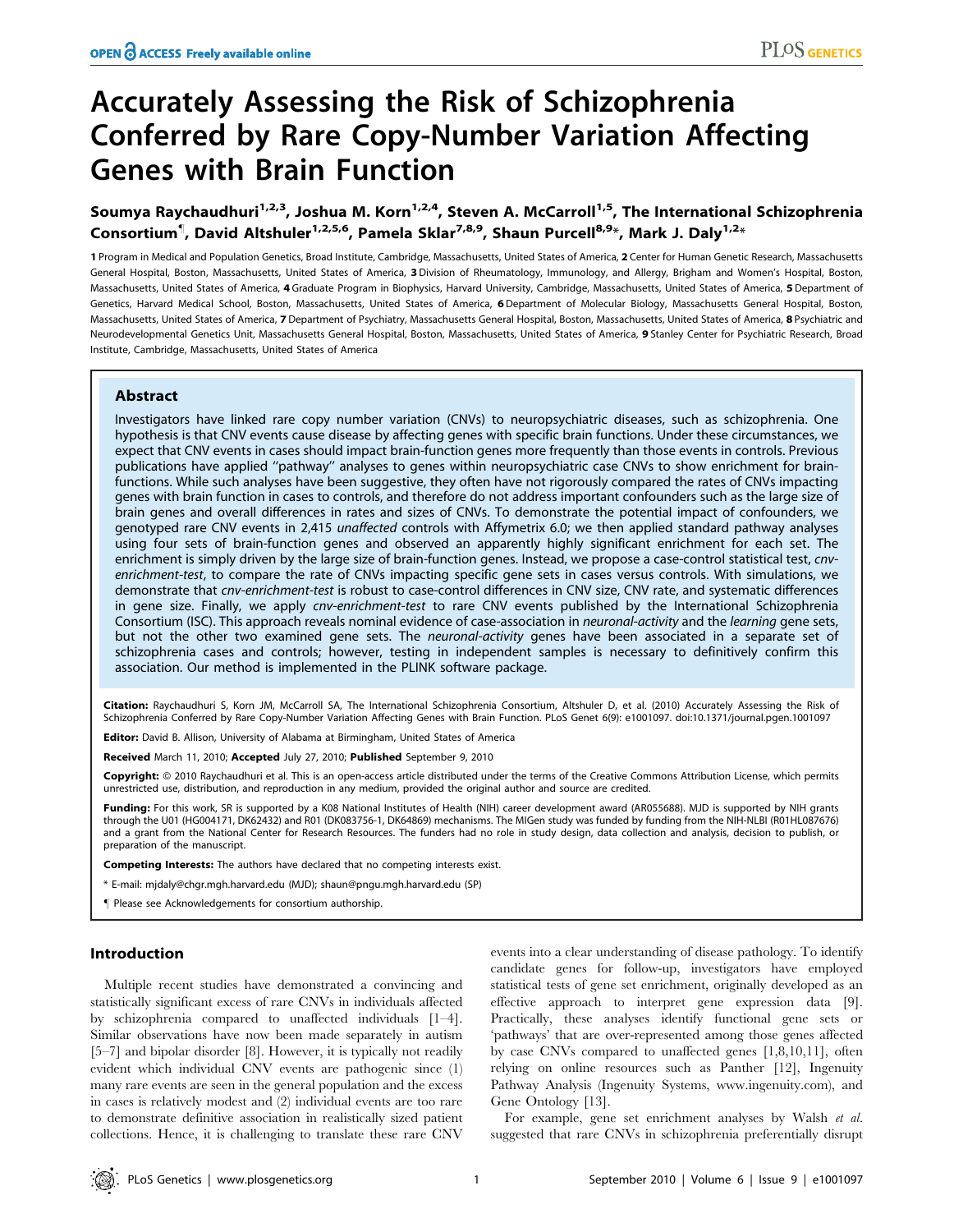# Accurately Assessing the Risk of Schizophrenia Conferred by Rare Copy-Number Variation Affecting Genes with Brain Function

Soumya Raychaudhuri<sup>1,2,3</sup>, Joshua M. Korn<sup>1,2,4</sup>, Steven A. McCarroll<sup>1,5</sup>, The International Schizophrenia Consortium<sup>¶</sup>, David Altshuler<sup>1,2,5,6</sup>, Pamela Sklar<sup>7,8,9</sup>, Shaun Purcell<sup>8,9</sup>\*, Mark J. Daly<sup>1,2</sup>\*

1 Program in Medical and Population Genetics, Broad Institute, Cambridge, Massachusetts, United States of America, 2 Center for Human Genetic Research, Massachusetts General Hospital, Boston, Massachusetts, United States of America, 3Division of Rheumatology, Immunology, and Allergy, Brigham and Women's Hospital, Boston, Massachusetts, United States of America, 4 Graduate Program in Biophysics, Harvard University, Cambridge, Massachusetts, United States of America, 5 Department of Genetics, Harvard Medical School, Boston, Massachusetts, United States of America, 6 Department of Molecular Biology, Massachusetts General Hospital, Boston, Massachusetts, United States of America, 7 Department of Psychiatry, Massachusetts General Hospital, Boston, Massachusetts, United States of America, 8 Psychiatric and Neurodevelopmental Genetics Unit, Massachusetts General Hospital, Boston, Massachusetts, United States of America, 9 Stanley Center for Psychiatric Research, Broad Institute, Cambridge, Massachusetts, United States of America

## Abstract

Investigators have linked rare copy number variation (CNVs) to neuropsychiatric diseases, such as schizophrenia. One hypothesis is that CNV events cause disease by affecting genes with specific brain functions. Under these circumstances, we expect that CNV events in cases should impact brain-function genes more frequently than those events in controls. Previous publications have applied ''pathway'' analyses to genes within neuropsychiatric case CNVs to show enrichment for brainfunctions. While such analyses have been suggestive, they often have not rigorously compared the rates of CNVs impacting genes with brain function in cases to controls, and therefore do not address important confounders such as the large size of brain genes and overall differences in rates and sizes of CNVs. To demonstrate the potential impact of confounders, we genotyped rare CNV events in 2,415 unaffected controls with Affymetrix 6.0; we then applied standard pathway analyses using four sets of brain-function genes and observed an apparently highly significant enrichment for each set. The enrichment is simply driven by the large size of brain-function genes. Instead, we propose a case-control statistical test, cnvenrichment-test, to compare the rate of CNVs impacting specific gene sets in cases versus controls. With simulations, we demonstrate that cnv-enrichment-test is robust to case-control differences in CNV size, CNV rate, and systematic differences in gene size. Finally, we apply cnv-enrichment-test to rare CNV events published by the International Schizophrenia Consortium (ISC). This approach reveals nominal evidence of case-association in neuronal-activity and the learning gene sets, but not the other two examined gene sets. The neuronal-activity genes have been associated in a separate set of schizophrenia cases and controls; however, testing in independent samples is necessary to definitively confirm this association. Our method is implemented in the PLINK software package.

Citation: Raychaudhuri S, Korn JM, McCarroll SA, The International Schizophrenia Consortium, Altshuler D, et al. (2010) Accurately Assessing the Risk of Schizophrenia Conferred by Rare Copy-Number Variation Affecting Genes with Brain Function. PLoS Genet 6(9): e1001097. doi:10.1371/journal.pgen.1001097

Editor: David B. Allison, University of Alabama at Birmingham, United States of America

Received March 11, 2010; Accepted July 27, 2010; Published September 9, 2010

Copyright: © 2010 Raychaudhuri et al. This is an open-access article distributed under the terms of the Creative Commons Attribution License, which permits unrestricted use, distribution, and reproduction in any medium, provided the original author and source are credited.

Funding: For this work, SR is supported by a K08 National Institutes of Health (NIH) career development award (AR055688). MJD is supported by NIH grants through the U01 (HG004171, DK62432) and R01 (DK083756-1, DK64869) mechanisms. The MIGen study was funded by funding from the NIH-NLBI (R01HL087676) and a grant from the National Center for Research Resources. The funders had no role in study design, data collection and analysis, decision to publish, or preparation of the manuscript.

Competing Interests: The authors have declared that no competing interests exist.

\* E-mail: mjdaly@chgr.mgh.harvard.edu (MJD); shaun@pngu.mgh.harvard.edu (SP)

" Please see Acknowledgements for consortium authorship.

# Introduction

Multiple recent studies have demonstrated a convincing and statistically significant excess of rare CNVs in individuals affected by schizophrenia compared to unaffected individuals [1–4]. Similar observations have now been made separately in autism [5–7] and bipolar disorder [8]. However, it is typically not readily evident which individual CNV events are pathogenic since (1) many rare events are seen in the general population and the excess in cases is relatively modest and (2) individual events are too rare to demonstrate definitive association in realistically sized patient collections. Hence, it is challenging to translate these rare CNV

events into a clear understanding of disease pathology. To identify candidate genes for follow-up, investigators have employed statistical tests of gene set enrichment, originally developed as an effective approach to interpret gene expression data [9]. Practically, these analyses identify functional gene sets or 'pathways' that are over-represented among those genes affected by case CNVs compared to unaffected genes [1,8,10,11], often relying on online resources such as Panther [12], Ingenuity Pathway Analysis (Ingenuity Systems, www.ingenuity.com), and Gene Ontology [13].

For example, gene set enrichment analyses by Walsh et al. suggested that rare CNVs in schizophrenia preferentially disrupt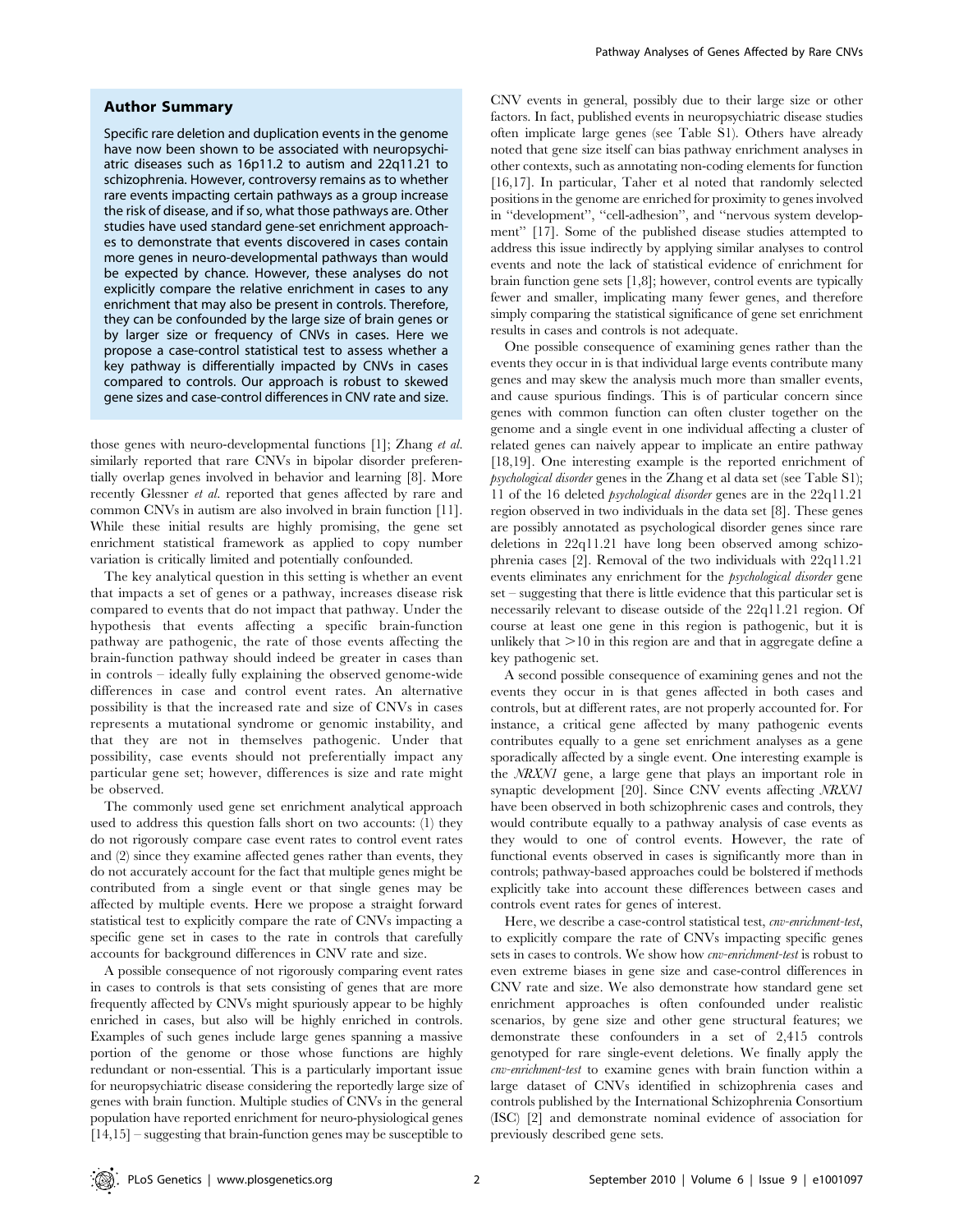## Author Summary

Specific rare deletion and duplication events in the genome have now been shown to be associated with neuropsychiatric diseases such as 16p11.2 to autism and 22q11.21 to schizophrenia. However, controversy remains as to whether rare events impacting certain pathways as a group increase the risk of disease, and if so, what those pathways are. Other studies have used standard gene-set enrichment approaches to demonstrate that events discovered in cases contain more genes in neuro-developmental pathways than would be expected by chance. However, these analyses do not explicitly compare the relative enrichment in cases to any enrichment that may also be present in controls. Therefore, they can be confounded by the large size of brain genes or by larger size or frequency of CNVs in cases. Here we propose a case-control statistical test to assess whether a key pathway is differentially impacted by CNVs in cases compared to controls. Our approach is robust to skewed gene sizes and case-control differences in CNV rate and size.

those genes with neuro-developmental functions [1]; Zhang et al. similarly reported that rare CNVs in bipolar disorder preferentially overlap genes involved in behavior and learning [8]. More recently Glessner *et al.* reported that genes affected by rare and common CNVs in autism are also involved in brain function [11]. While these initial results are highly promising, the gene set enrichment statistical framework as applied to copy number variation is critically limited and potentially confounded.

The key analytical question in this setting is whether an event that impacts a set of genes or a pathway, increases disease risk compared to events that do not impact that pathway. Under the hypothesis that events affecting a specific brain-function pathway are pathogenic, the rate of those events affecting the brain-function pathway should indeed be greater in cases than in controls – ideally fully explaining the observed genome-wide differences in case and control event rates. An alternative possibility is that the increased rate and size of CNVs in cases represents a mutational syndrome or genomic instability, and that they are not in themselves pathogenic. Under that possibility, case events should not preferentially impact any particular gene set; however, differences is size and rate might be observed.

The commonly used gene set enrichment analytical approach used to address this question falls short on two accounts: (1) they do not rigorously compare case event rates to control event rates and (2) since they examine affected genes rather than events, they do not accurately account for the fact that multiple genes might be contributed from a single event or that single genes may be affected by multiple events. Here we propose a straight forward statistical test to explicitly compare the rate of CNVs impacting a specific gene set in cases to the rate in controls that carefully accounts for background differences in CNV rate and size.

A possible consequence of not rigorously comparing event rates in cases to controls is that sets consisting of genes that are more frequently affected by CNVs might spuriously appear to be highly enriched in cases, but also will be highly enriched in controls. Examples of such genes include large genes spanning a massive portion of the genome or those whose functions are highly redundant or non-essential. This is a particularly important issue for neuropsychiatric disease considering the reportedly large size of genes with brain function. Multiple studies of CNVs in the general population have reported enrichment for neuro-physiological genes [14,15] – suggesting that brain-function genes may be susceptible to CNV events in general, possibly due to their large size or other factors. In fact, published events in neuropsychiatric disease studies often implicate large genes (see Table S1). Others have already noted that gene size itself can bias pathway enrichment analyses in other contexts, such as annotating non-coding elements for function [16,17]. In particular, Taher et al noted that randomly selected positions in the genome are enriched for proximity to genes involved in ''development'', ''cell-adhesion'', and ''nervous system development'' [17]. Some of the published disease studies attempted to address this issue indirectly by applying similar analyses to control events and note the lack of statistical evidence of enrichment for brain function gene sets [1,8]; however, control events are typically fewer and smaller, implicating many fewer genes, and therefore simply comparing the statistical significance of gene set enrichment results in cases and controls is not adequate.

One possible consequence of examining genes rather than the events they occur in is that individual large events contribute many genes and may skew the analysis much more than smaller events, and cause spurious findings. This is of particular concern since genes with common function can often cluster together on the genome and a single event in one individual affecting a cluster of related genes can naively appear to implicate an entire pathway [18,19]. One interesting example is the reported enrichment of psychological disorder genes in the Zhang et al data set (see Table S1); 11 of the 16 deleted psychological disorder genes are in the 22q11.21 region observed in two individuals in the data set [8]. These genes are possibly annotated as psychological disorder genes since rare deletions in 22q11.21 have long been observed among schizophrenia cases [2]. Removal of the two individuals with 22q11.21 events eliminates any enrichment for the psychological disorder gene set – suggesting that there is little evidence that this particular set is necessarily relevant to disease outside of the 22q11.21 region. Of course at least one gene in this region is pathogenic, but it is unlikely that  $>10$  in this region are and that in aggregate define a key pathogenic set.

A second possible consequence of examining genes and not the events they occur in is that genes affected in both cases and controls, but at different rates, are not properly accounted for. For instance, a critical gene affected by many pathogenic events contributes equally to a gene set enrichment analyses as a gene sporadically affected by a single event. One interesting example is the NRXN1 gene, a large gene that plays an important role in synaptic development [20]. Since CNV events affecting NRXN1 have been observed in both schizophrenic cases and controls, they would contribute equally to a pathway analysis of case events as they would to one of control events. However, the rate of functional events observed in cases is significantly more than in controls; pathway-based approaches could be bolstered if methods explicitly take into account these differences between cases and controls event rates for genes of interest.

Here, we describe a case-control statistical test, *cnv-enrichment-test*, to explicitly compare the rate of CNVs impacting specific genes sets in cases to controls. We show how cnv-enrichment-test is robust to even extreme biases in gene size and case-control differences in CNV rate and size. We also demonstrate how standard gene set enrichment approaches is often confounded under realistic scenarios, by gene size and other gene structural features; we demonstrate these confounders in a set of 2,415 controls genotyped for rare single-event deletions. We finally apply the cnv-enrichment-test to examine genes with brain function within a large dataset of CNVs identified in schizophrenia cases and controls published by the International Schizophrenia Consortium (ISC) [2] and demonstrate nominal evidence of association for previously described gene sets.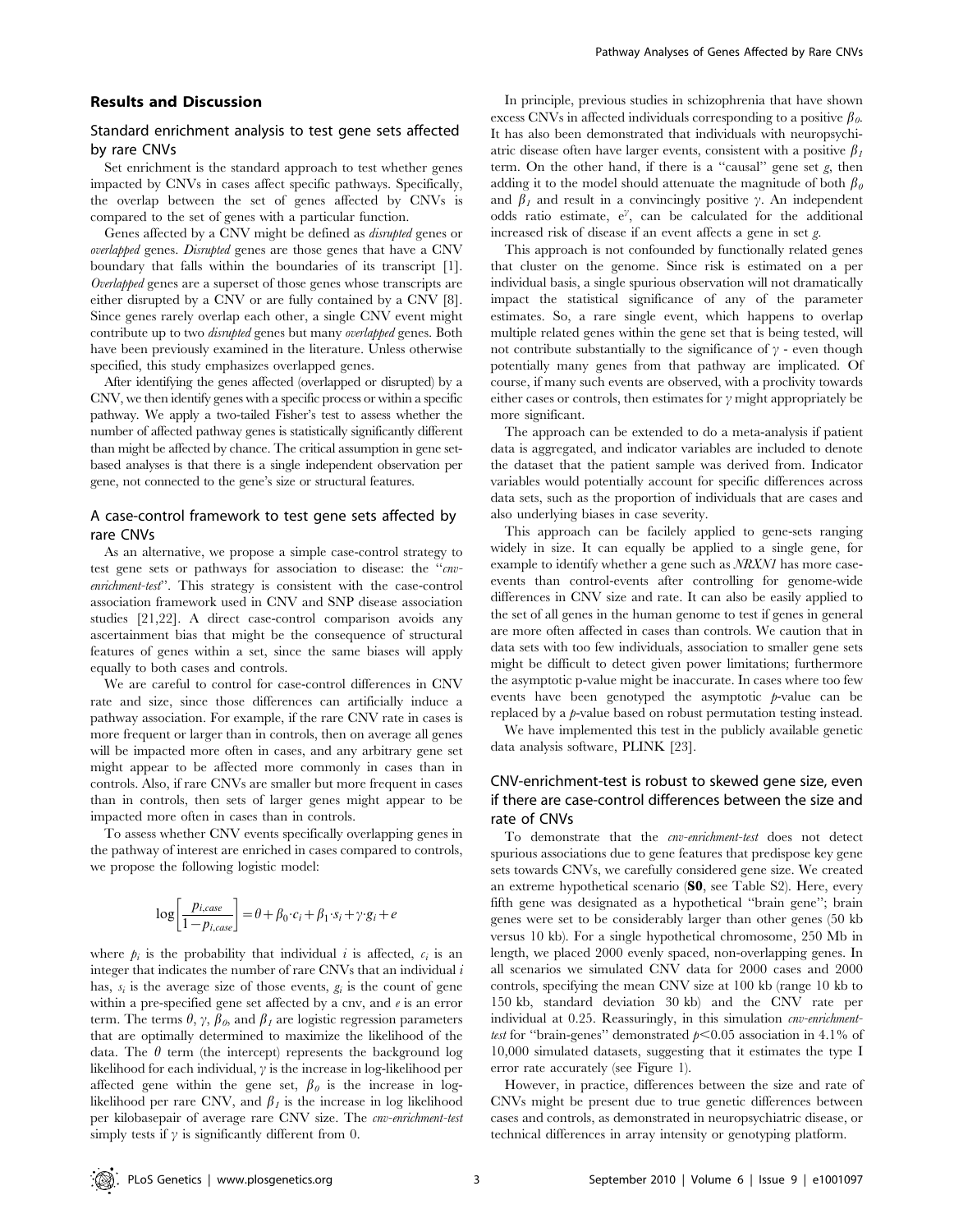## Results and Discussion

## Standard enrichment analysis to test gene sets affected by rare CNVs

Set enrichment is the standard approach to test whether genes impacted by CNVs in cases affect specific pathways. Specifically, the overlap between the set of genes affected by CNVs is compared to the set of genes with a particular function.

Genes affected by a CNV might be defined as disrupted genes or overlapped genes. Disrupted genes are those genes that have a CNV boundary that falls within the boundaries of its transcript [1]. Overlapped genes are a superset of those genes whose transcripts are either disrupted by a CNV or are fully contained by a CNV [8]. Since genes rarely overlap each other, a single CNV event might contribute up to two disrupted genes but many overlapped genes. Both have been previously examined in the literature. Unless otherwise specified, this study emphasizes overlapped genes.

After identifying the genes affected (overlapped or disrupted) by a CNV, we then identify genes with a specific process or within a specific pathway. We apply a two-tailed Fisher's test to assess whether the number of affected pathway genes is statistically significantly different than might be affected by chance. The critical assumption in gene setbased analyses is that there is a single independent observation per gene, not connected to the gene's size or structural features.

# A case-control framework to test gene sets affected by rare CNVs

As an alternative, we propose a simple case-control strategy to test gene sets or pathways for association to disease: the "cnvenrichment-test''. This strategy is consistent with the case-control association framework used in CNV and SNP disease association studies [21,22]. A direct case-control comparison avoids any ascertainment bias that might be the consequence of structural features of genes within a set, since the same biases will apply equally to both cases and controls.

We are careful to control for case-control differences in CNV rate and size, since those differences can artificially induce a pathway association. For example, if the rare CNV rate in cases is more frequent or larger than in controls, then on average all genes will be impacted more often in cases, and any arbitrary gene set might appear to be affected more commonly in cases than in controls. Also, if rare CNVs are smaller but more frequent in cases than in controls, then sets of larger genes might appear to be impacted more often in cases than in controls.

To assess whether CNV events specifically overlapping genes in the pathway of interest are enriched in cases compared to controls, we propose the following logistic model:

$$
\log\left[\frac{p_{i, case}}{1-p_{i, case}}\right] = \theta + \beta_0 \cdot c_i + \beta_1 \cdot s_i + \gamma \cdot g_i + e
$$

where  $p_i$  is the probability that individual i is affected,  $c_i$  is an integer that indicates the number of rare CNVs that an individual  $i$ has,  $s_i$  is the average size of those events,  $g_i$  is the count of gene within a pre-specified gene set affected by a cnv, and  $e$  is an error term. The terms  $\theta$ ,  $\gamma$ ,  $\beta$ <sub>0</sub>, and  $\beta_1$  are logistic regression parameters that are optimally determined to maximize the likelihood of the data. The  $\theta$  term (the intercept) represents the background log likelihood for each individual,  $\gamma$  is the increase in log-likelihood per affected gene within the gene set,  $\beta_0$  is the increase in loglikelihood per rare CNV, and  $\beta_1$  is the increase in log likelihood per kilobasepair of average rare CNV size. The cnv-enrichment-test simply tests if  $\gamma$  is significantly different from 0.

In principle, previous studies in schizophrenia that have shown excess CNVs in affected individuals corresponding to a positive  $\beta_{\theta}$ . It has also been demonstrated that individuals with neuropsychiatric disease often have larger events, consistent with a positive  $\beta_1$ term. On the other hand, if there is a ''causal'' gene set g, then adding it to the model should attenuate the magnitude of both  $\beta_0$ and  $\beta_1$  and result in a convincingly positive  $\gamma$ . An independent odds ratio estimate,  $e^{\gamma}$ , can be calculated for the additional increased risk of disease if an event affects a gene in set g.

This approach is not confounded by functionally related genes that cluster on the genome. Since risk is estimated on a per individual basis, a single spurious observation will not dramatically impact the statistical significance of any of the parameter estimates. So, a rare single event, which happens to overlap multiple related genes within the gene set that is being tested, will not contribute substantially to the significance of  $\gamma$  - even though potentially many genes from that pathway are implicated. Of course, if many such events are observed, with a proclivity towards either cases or controls, then estimates for  $\gamma$  might appropriately be more significant.

The approach can be extended to do a meta-analysis if patient data is aggregated, and indicator variables are included to denote the dataset that the patient sample was derived from. Indicator variables would potentially account for specific differences across data sets, such as the proportion of individuals that are cases and also underlying biases in case severity.

This approach can be facilely applied to gene-sets ranging widely in size. It can equally be applied to a single gene, for example to identify whether a gene such as *NRXN1* has more caseevents than control-events after controlling for genome-wide differences in CNV size and rate. It can also be easily applied to the set of all genes in the human genome to test if genes in general are more often affected in cases than controls. We caution that in data sets with too few individuals, association to smaller gene sets might be difficult to detect given power limitations; furthermore the asymptotic p-value might be inaccurate. In cases where too few events have been genotyped the asymptotic  $p$ -value can be replaced by a p-value based on robust permutation testing instead.

We have implemented this test in the publicly available genetic data analysis software, PLINK [23].

# CNV-enrichment-test is robust to skewed gene size, even if there are case-control differences between the size and rate of CNVs

To demonstrate that the *cnv-enrichment-test* does not detect spurious associations due to gene features that predispose key gene sets towards CNVs, we carefully considered gene size. We created an extreme hypothetical scenario (S0, see Table S2). Here, every fifth gene was designated as a hypothetical ''brain gene''; brain genes were set to be considerably larger than other genes (50 kb versus 10 kb). For a single hypothetical chromosome, 250 Mb in length, we placed 2000 evenly spaced, non-overlapping genes. In all scenarios we simulated CNV data for 2000 cases and 2000 controls, specifying the mean CNV size at 100 kb (range 10 kb to 150 kb, standard deviation 30 kb) and the CNV rate per individual at 0.25. Reassuringly, in this simulation *cnv-enrichment*test for "brain-genes" demonstrated  $p<0.05$  association in 4.1% of 10,000 simulated datasets, suggesting that it estimates the type I error rate accurately (see Figure 1).

However, in practice, differences between the size and rate of CNVs might be present due to true genetic differences between cases and controls, as demonstrated in neuropsychiatric disease, or technical differences in array intensity or genotyping platform.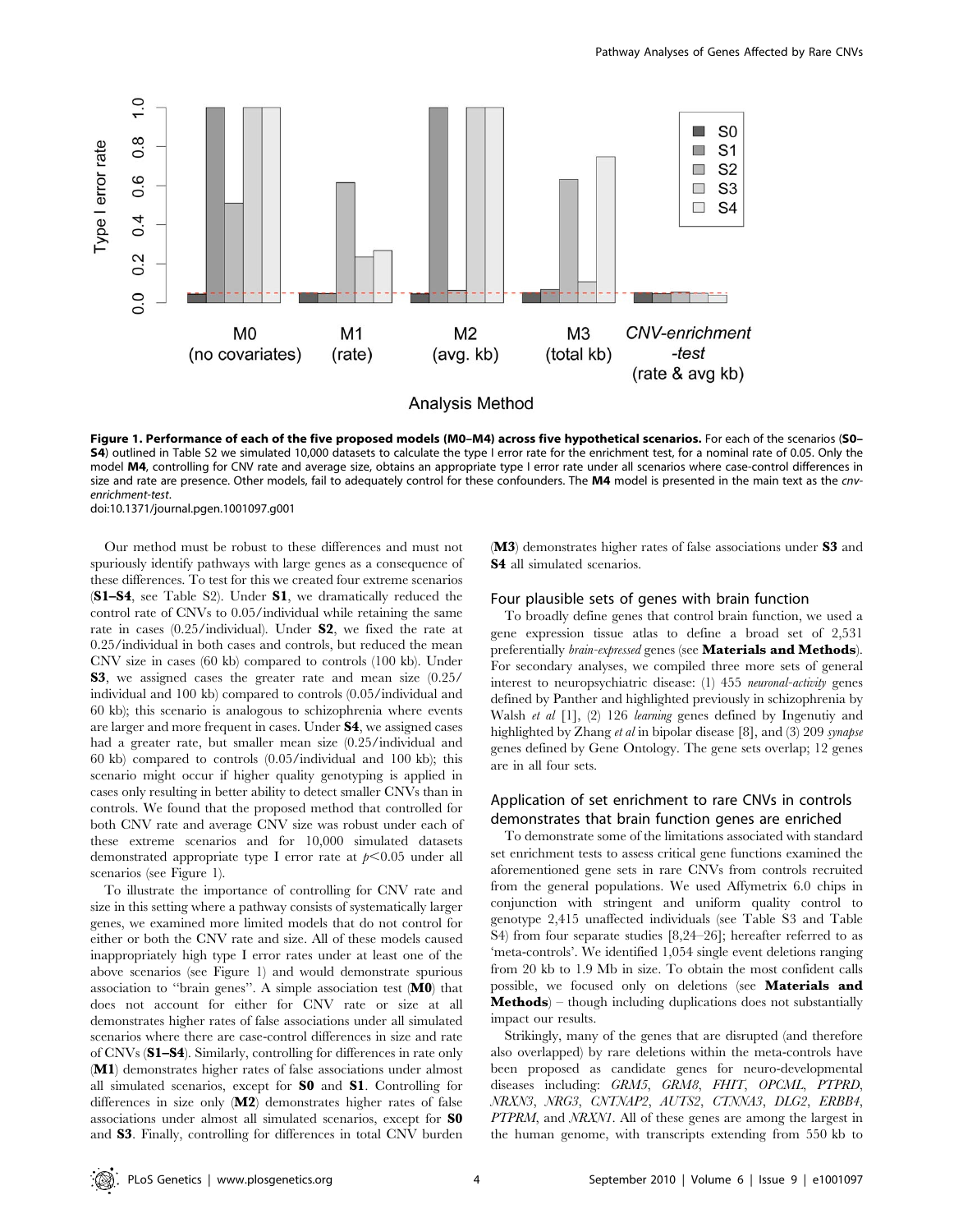

Figure 1. Performance of each of the five proposed models (M0–M4) across five hypothetical scenarios. For each of the scenarios (S0– S4) outlined in Table S2 we simulated 10,000 datasets to calculate the type I error rate for the enrichment test, for a nominal rate of 0.05. Only the model M4, controlling for CNV rate and average size, obtains an appropriate type I error rate under all scenarios where case-control differences in size and rate are presence. Other models, fail to adequately control for these confounders. The M4 model is presented in the main text as the cnvenrichment-test.

doi:10.1371/journal.pgen.1001097.g001

Our method must be robust to these differences and must not spuriously identify pathways with large genes as a consequence of these differences. To test for this we created four extreme scenarios (S1–S4, see Table S2). Under S1, we dramatically reduced the control rate of CNVs to 0.05/individual while retaining the same rate in cases (0.25/individual). Under S2, we fixed the rate at 0.25/individual in both cases and controls, but reduced the mean CNV size in cases (60 kb) compared to controls (100 kb). Under S3, we assigned cases the greater rate and mean size (0.25/ individual and 100 kb) compared to controls (0.05/individual and 60 kb); this scenario is analogous to schizophrenia where events are larger and more frequent in cases. Under S4, we assigned cases had a greater rate, but smaller mean size  $(0.25/\text{individual}$  and 60 kb) compared to controls (0.05/individual and 100 kb); this scenario might occur if higher quality genotyping is applied in cases only resulting in better ability to detect smaller CNVs than in controls. We found that the proposed method that controlled for both CNV rate and average CNV size was robust under each of these extreme scenarios and for 10,000 simulated datasets demonstrated appropriate type I error rate at  $p<0.05$  under all scenarios (see Figure 1).

To illustrate the importance of controlling for CNV rate and size in this setting where a pathway consists of systematically larger genes, we examined more limited models that do not control for either or both the CNV rate and size. All of these models caused inappropriately high type I error rates under at least one of the above scenarios (see Figure 1) and would demonstrate spurious association to ''brain genes''. A simple association test (M0) that does not account for either for CNV rate or size at all demonstrates higher rates of false associations under all simulated scenarios where there are case-control differences in size and rate of CNVs (S1–S4). Similarly, controlling for differences in rate only (M1) demonstrates higher rates of false associations under almost all simulated scenarios, except for S0 and S1. Controlling for differences in size only (M2) demonstrates higher rates of false associations under almost all simulated scenarios, except for S0 and S3. Finally, controlling for differences in total CNV burden

(M3) demonstrates higher rates of false associations under S3 and S4 all simulated scenarios.

#### Four plausible sets of genes with brain function

To broadly define genes that control brain function, we used a gene expression tissue atlas to define a broad set of 2,531 preferentially *brain-expressed* genes (see **Materials and Methods**). For secondary analyses, we compiled three more sets of general interest to neuropsychiatric disease: (1) 455 neuronal-activity genes defined by Panther and highlighted previously in schizophrenia by Walsh et al [1], (2) 126 learning genes defined by Ingenutiy and highlighted by Zhang et al in bipolar disease [8], and (3) 209 synapse genes defined by Gene Ontology. The gene sets overlap; 12 genes are in all four sets.

# Application of set enrichment to rare CNVs in controls demonstrates that brain function genes are enriched

To demonstrate some of the limitations associated with standard set enrichment tests to assess critical gene functions examined the aforementioned gene sets in rare CNVs from controls recruited from the general populations. We used Affymetrix 6.0 chips in conjunction with stringent and uniform quality control to genotype 2,415 unaffected individuals (see Table S3 and Table S4) from four separate studies [8,24–26]; hereafter referred to as 'meta-controls'. We identified 1,054 single event deletions ranging from 20 kb to 1.9 Mb in size. To obtain the most confident calls possible, we focused only on deletions (see Materials and Methods) – though including duplications does not substantially impact our results.

Strikingly, many of the genes that are disrupted (and therefore also overlapped) by rare deletions within the meta-controls have been proposed as candidate genes for neuro-developmental diseases including: GRM5, GRM8, FHIT, OPCML, PTPRD, NRXN3, NRG3, CNTNAP2, AUTS2, CTNNA3, DLG2, ERBB4, PTPRM, and NRXN1. All of these genes are among the largest in the human genome, with transcripts extending from 550 kb to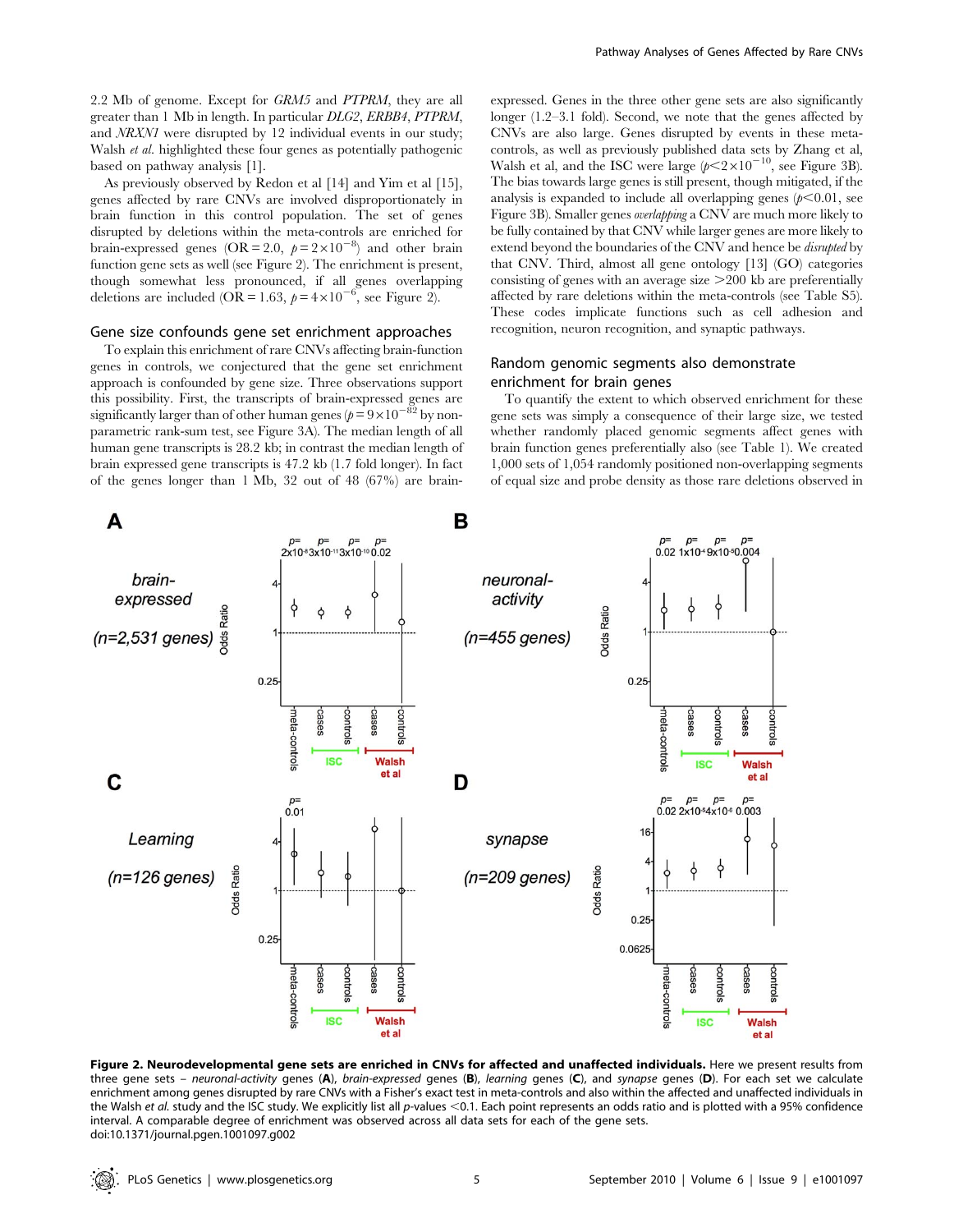2.2 Mb of genome. Except for GRM5 and PTPRM, they are all greater than 1 Mb in length. In particular DLG2, ERBB4, PTPRM, and NRXN1 were disrupted by 12 individual events in our study; Walsh *et al.* highlighted these four genes as potentially pathogenic based on pathway analysis [1].

As previously observed by Redon et al [14] and Yim et al [15], genes affected by rare CNVs are involved disproportionately in brain function in this control population. The set of genes disrupted by deletions within the meta-controls are enriched for brain-expressed genes (OR = 2.0,  $p = 2 \times 10^{-8}$ ) and other brain function gene sets as well (see Figure 2). The enrichment is present, though somewhat less pronounced, if all genes overlapping deletions are included (OR = 1.63,  $p = 4 \times 10^{-6}$ , see Figure 2).

## Gene size confounds gene set enrichment approaches

To explain this enrichment of rare CNVs affecting brain-function genes in controls, we conjectured that the gene set enrichment approach is confounded by gene size. Three observations support this possibility. First, the transcripts of brain-expressed genes are significantly larger than of other human genes ( $p=9\times10^{-82}$  by nonparametric rank-sum test, see Figure 3A). The median length of all human gene transcripts is 28.2 kb; in contrast the median length of brain expressed gene transcripts is 47.2 kb (1.7 fold longer). In fact of the genes longer than 1 Mb, 32 out of 48 (67%) are brainexpressed. Genes in the three other gene sets are also significantly longer (1.2–3.1 fold). Second, we note that the genes affected by CNVs are also large. Genes disrupted by events in these metacontrols, as well as previously published data sets by Zhang et al, Walsh et al, and the ISC were large  $(p<2\times10^{-10}$ , see Figure 3B). The bias towards large genes is still present, though mitigated, if the analysis is expanded to include all overlapping genes  $(p<0.01, \text{ sec})$ Figure 3B). Smaller genes overlapping a CNV are much more likely to be fully contained by that CNV while larger genes are more likely to extend beyond the boundaries of the CNV and hence be disrupted by that CNV. Third, almost all gene ontology [13] (GO) categories consisting of genes with an average size  $>$  200 kb are preferentially affected by rare deletions within the meta-controls (see Table S5). These codes implicate functions such as cell adhesion and recognition, neuron recognition, and synaptic pathways.

## Random genomic segments also demonstrate enrichment for brain genes

To quantify the extent to which observed enrichment for these gene sets was simply a consequence of their large size, we tested whether randomly placed genomic segments affect genes with brain function genes preferentially also (see Table 1). We created 1,000 sets of 1,054 randomly positioned non-overlapping segments of equal size and probe density as those rare deletions observed in



Figure 2. Neurodevelopmental gene sets are enriched in CNVs for affected and unaffected individuals. Here we present results from three gene sets - neuronal-activity genes (A), brain-expressed genes (B), learning genes (C), and synapse genes (D). For each set we calculate enrichment among genes disrupted by rare CNVs with a Fisher's exact test in meta-controls and also within the affected and unaffected individuals in the Walsh et al. study and the ISC study. We explicitly list all p-values  $<$ 0.1. Each point represents an odds ratio and is plotted with a 95% confidence interval. A comparable degree of enrichment was observed across all data sets for each of the gene sets. doi:10.1371/journal.pgen.1001097.g002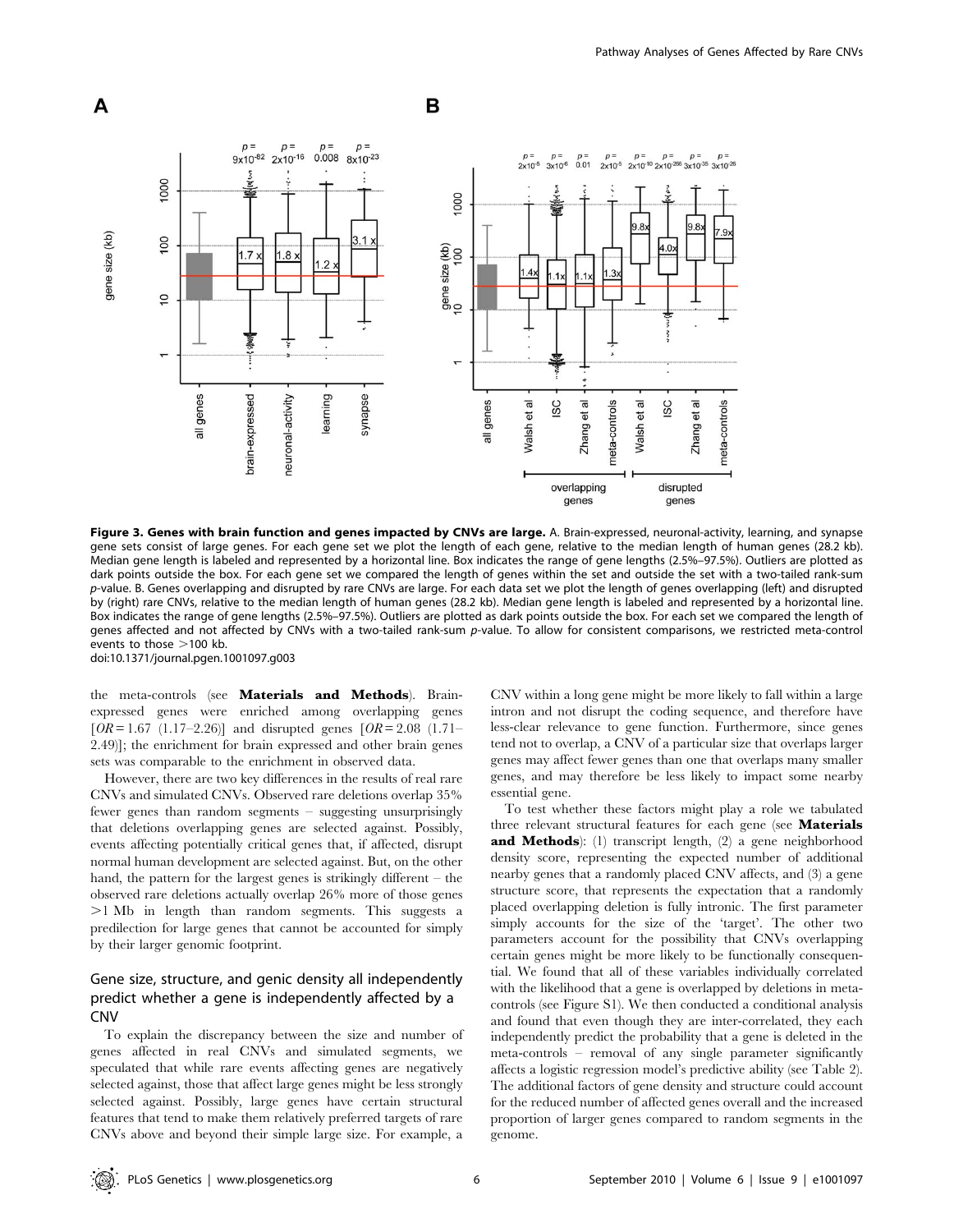

Figure 3. Genes with brain function and genes impacted by CNVs are large. A. Brain-expressed, neuronal-activity, learning, and synapse gene sets consist of large genes. For each gene set we plot the length of each gene, relative to the median length of human genes (28.2 kb). Median gene length is labeled and represented by a horizontal line. Box indicates the range of gene lengths (2.5%–97.5%). Outliers are plotted as dark points outside the box. For each gene set we compared the length of genes within the set and outside the set with a two-tailed rank-sum p-value. B. Genes overlapping and disrupted by rare CNVs are large. For each data set we plot the length of genes overlapping (left) and disrupted by (right) rare CNVs, relative to the median length of human genes (28.2 kb). Median gene length is labeled and represented by a horizontal line. Box indicates the range of gene lengths (2.5%–97.5%). Outliers are plotted as dark points outside the box. For each set we compared the length of genes affected and not affected by CNVs with a two-tailed rank-sum p-value. To allow for consistent comparisons, we restricted meta-control events to those  $>100$  kb. doi:10.1371/journal.pgen.1001097.g003

the meta-controls (see Materials and Methods). Brainexpressed genes were enriched among overlapping genes  $[OR = 1.67 \ (1.17 - 2.26)]$  and disrupted genes  $[OR = 2.08 \ (1.71 -$ 2.49)]; the enrichment for brain expressed and other brain genes sets was comparable to the enrichment in observed data.

However, there are two key differences in the results of real rare CNVs and simulated CNVs. Observed rare deletions overlap 35% fewer genes than random segments – suggesting unsurprisingly that deletions overlapping genes are selected against. Possibly, events affecting potentially critical genes that, if affected, disrupt normal human development are selected against. But, on the other hand, the pattern for the largest genes is strikingly different – the observed rare deletions actually overlap 26% more of those genes  $>1$  Mb in length than random segments. This suggests a predilection for large genes that cannot be accounted for simply by their larger genomic footprint.

# Gene size, structure, and genic density all independently predict whether a gene is independently affected by a CNV

To explain the discrepancy between the size and number of genes affected in real CNVs and simulated segments, we speculated that while rare events affecting genes are negatively selected against, those that affect large genes might be less strongly selected against. Possibly, large genes have certain structural features that tend to make them relatively preferred targets of rare CNVs above and beyond their simple large size. For example, a

CNV within a long gene might be more likely to fall within a large intron and not disrupt the coding sequence, and therefore have less-clear relevance to gene function. Furthermore, since genes tend not to overlap, a CNV of a particular size that overlaps larger genes may affect fewer genes than one that overlaps many smaller genes, and may therefore be less likely to impact some nearby essential gene.

To test whether these factors might play a role we tabulated three relevant structural features for each gene (see Materials and Methods): (1) transcript length, (2) a gene neighborhood density score, representing the expected number of additional nearby genes that a randomly placed CNV affects, and (3) a gene structure score, that represents the expectation that a randomly placed overlapping deletion is fully intronic. The first parameter simply accounts for the size of the 'target'. The other two parameters account for the possibility that CNVs overlapping certain genes might be more likely to be functionally consequential. We found that all of these variables individually correlated with the likelihood that a gene is overlapped by deletions in metacontrols (see Figure S1). We then conducted a conditional analysis and found that even though they are inter-correlated, they each independently predict the probability that a gene is deleted in the meta-controls – removal of any single parameter significantly affects a logistic regression model's predictive ability (see Table 2). The additional factors of gene density and structure could account for the reduced number of affected genes overall and the increased proportion of larger genes compared to random segments in the genome.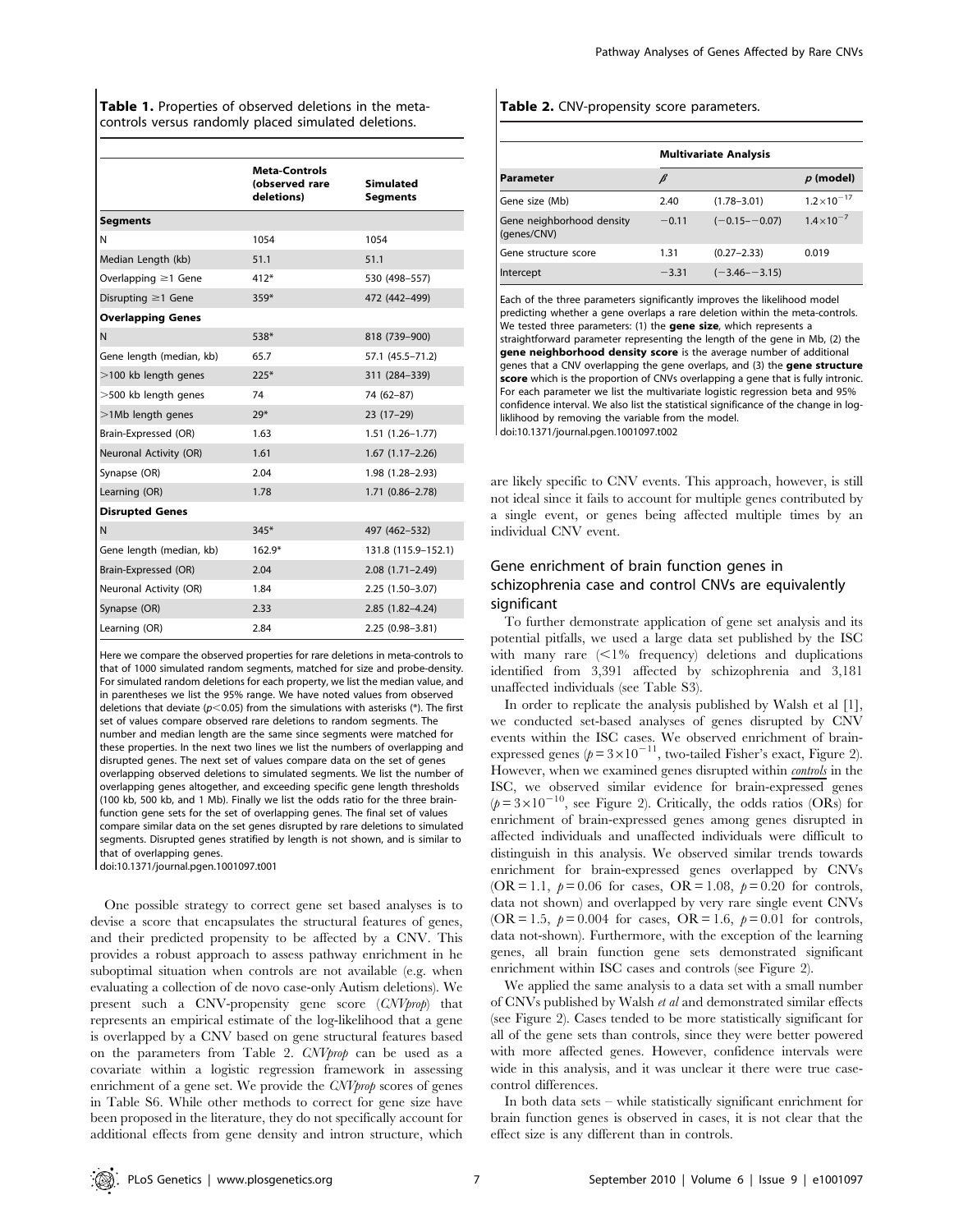|                           | <b>Meta-Controls</b><br>(observed rare<br>deletions) | <b>Simulated</b><br><b>Segments</b> |
|---------------------------|------------------------------------------------------|-------------------------------------|
| <b>Segments</b>           |                                                      |                                     |
| N                         | 1054                                                 | 1054                                |
| Median Length (kb)        | 51.1                                                 | 51.1                                |
| Overlapping $\geq$ 1 Gene | $412*$                                               | 530 (498-557)                       |
| Disrupting $\geq$ 1 Gene  | $359*$                                               | 472 (442-499)                       |
| <b>Overlapping Genes</b>  |                                                      |                                     |
| N                         | 538*                                                 | 818 (739-900)                       |
| Gene length (median, kb)  | 65.7                                                 | 57.1 (45.5-71.2)                    |
| >100 kb length genes      | $225*$                                               | 311 (284-339)                       |
| $>$ 500 kb length genes   | 74                                                   | 74 (62-87)                          |
| >1Mb length genes         | $29*$                                                | $23(17-29)$                         |
| Brain-Expressed (OR)      | 1.63                                                 | $1.51(1.26 - 1.77)$                 |
| Neuronal Activity (OR)    | 1.61                                                 | $1.67(1.17-2.26)$                   |
| Synapse (OR)              | 2.04                                                 | 1.98 (1.28-2.93)                    |
| Learning (OR)             | 1.78                                                 | $1.71(0.86 - 2.78)$                 |
| <b>Disrupted Genes</b>    |                                                      |                                     |
| N                         | $345*$                                               | 497 (462-532)                       |
| Gene length (median, kb)  | $162.9*$                                             | 131.8 (115.9-152.1)                 |
| Brain-Expressed (OR)      | 2.04                                                 | $2.08(1.71 - 2.49)$                 |
| Neuronal Activity (OR)    | 1.84                                                 | $2.25(1.50-3.07)$                   |
| Synapse (OR)              | 2.33                                                 | $2.85(1.82 - 4.24)$                 |
| Learning (OR)             | 2.84                                                 | $2.25(0.98 - 3.81)$                 |

Here we compare the observed properties for rare deletions in meta-controls to that of 1000 simulated random segments, matched for size and probe-density. For simulated random deletions for each property, we list the median value, and in parentheses we list the 95% range. We have noted values from observed deletions that deviate ( $p<0.05$ ) from the simulations with asterisks (\*). The first set of values compare observed rare deletions to random segments. The number and median length are the same since segments were matched for these properties. In the next two lines we list the numbers of overlapping and disrupted genes. The next set of values compare data on the set of genes overlapping observed deletions to simulated segments. We list the number of overlapping genes altogether, and exceeding specific gene length thresholds (100 kb, 500 kb, and 1 Mb). Finally we list the odds ratio for the three brainfunction gene sets for the set of overlapping genes. The final set of values compare similar data on the set genes disrupted by rare deletions to simulated segments. Disrupted genes stratified by length is not shown, and is similar to that of overlapping genes.

doi:10.1371/journal.pgen.1001097.t001

One possible strategy to correct gene set based analyses is to devise a score that encapsulates the structural features of genes, and their predicted propensity to be affected by a CNV. This provides a robust approach to assess pathway enrichment in he suboptimal situation when controls are not available (e.g. when evaluating a collection of de novo case-only Autism deletions). We present such a CNV-propensity gene score (CNVprop) that represents an empirical estimate of the log-likelihood that a gene is overlapped by a CNV based on gene structural features based on the parameters from Table 2. CNVprop can be used as a covariate within a logistic regression framework in assessing enrichment of a gene set. We provide the CNVprop scores of genes in Table S6. While other methods to correct for gene size have been proposed in the literature, they do not specifically account for additional effects from gene density and intron structure, which

#### Table 2. CNV-propensity score parameters.

|                                          | <b>Multivariate Analysis</b> |                   |                       |
|------------------------------------------|------------------------------|-------------------|-----------------------|
| <b>Parameter</b>                         |                              |                   | $p$ (model)           |
| Gene size (Mb)                           | 2.40                         | $(1.78 - 3.01)$   | $1.2 \times 10^{-17}$ |
| Gene neighborhood density<br>(genes/CNV) | $-0.11$                      | $(-0.15 - -0.07)$ | $1.4 \times 10^{-7}$  |
| Gene structure score                     | 1.31                         | $(0.27 - 2.33)$   | 0.019                 |
| Intercept                                | $-3.31$                      | $(-3.46 - -3.15)$ |                       |

Each of the three parameters significantly improves the likelihood model predicting whether a gene overlaps a rare deletion within the meta-controls. We tested three parameters: (1) the **gene size**, which represents a straightforward parameter representing the length of the gene in Mb, (2) the gene neighborhood density score is the average number of additional genes that a CNV overlapping the gene overlaps, and (3) the gene structure score which is the proportion of CNVs overlapping a gene that is fully intronic. For each parameter we list the multivariate logistic regression beta and 95% confidence interval. We also list the statistical significance of the change in logliklihood by removing the variable from the model. doi:10.1371/journal.pgen.1001097.t002

are likely specific to CNV events. This approach, however, is still not ideal since it fails to account for multiple genes contributed by a single event, or genes being affected multiple times by an individual CNV event.

# Gene enrichment of brain function genes in schizophrenia case and control CNVs are equivalently significant

To further demonstrate application of gene set analysis and its potential pitfalls, we used a large data set published by the ISC with many rare  $\langle 1\%$  frequency) deletions and duplications identified from 3,391 affected by schizophrenia and 3,181 unaffected individuals (see Table S3).

In order to replicate the analysis published by Walsh et al [1], we conducted set-based analyses of genes disrupted by CNV events within the ISC cases. We observed enrichment of brainexpressed genes ( $p = 3 \times 10^{-11}$ , two-tailed Fisher's exact, Figure 2). However, when we examined genes disrupted within controls in the ISC, we observed similar evidence for brain-expressed genes  $(p=3\times10^{-10}$ , see Figure 2). Critically, the odds ratios (ORs) for enrichment of brain-expressed genes among genes disrupted in affected individuals and unaffected individuals were difficult to distinguish in this analysis. We observed similar trends towards enrichment for brain-expressed genes overlapped by CNVs (OR = 1.1,  $p = 0.06$  for cases, OR = 1.08,  $p = 0.20$  for controls, data not shown) and overlapped by very rare single event CNVs (OR = 1.5,  $p = 0.004$  for cases, OR = 1.6,  $p = 0.01$  for controls, data not-shown). Furthermore, with the exception of the learning genes, all brain function gene sets demonstrated significant enrichment within ISC cases and controls (see Figure 2).

We applied the same analysis to a data set with a small number of CNVs published by Walsh et al and demonstrated similar effects (see Figure 2). Cases tended to be more statistically significant for all of the gene sets than controls, since they were better powered with more affected genes. However, confidence intervals were wide in this analysis, and it was unclear it there were true casecontrol differences.

In both data sets – while statistically significant enrichment for brain function genes is observed in cases, it is not clear that the effect size is any different than in controls.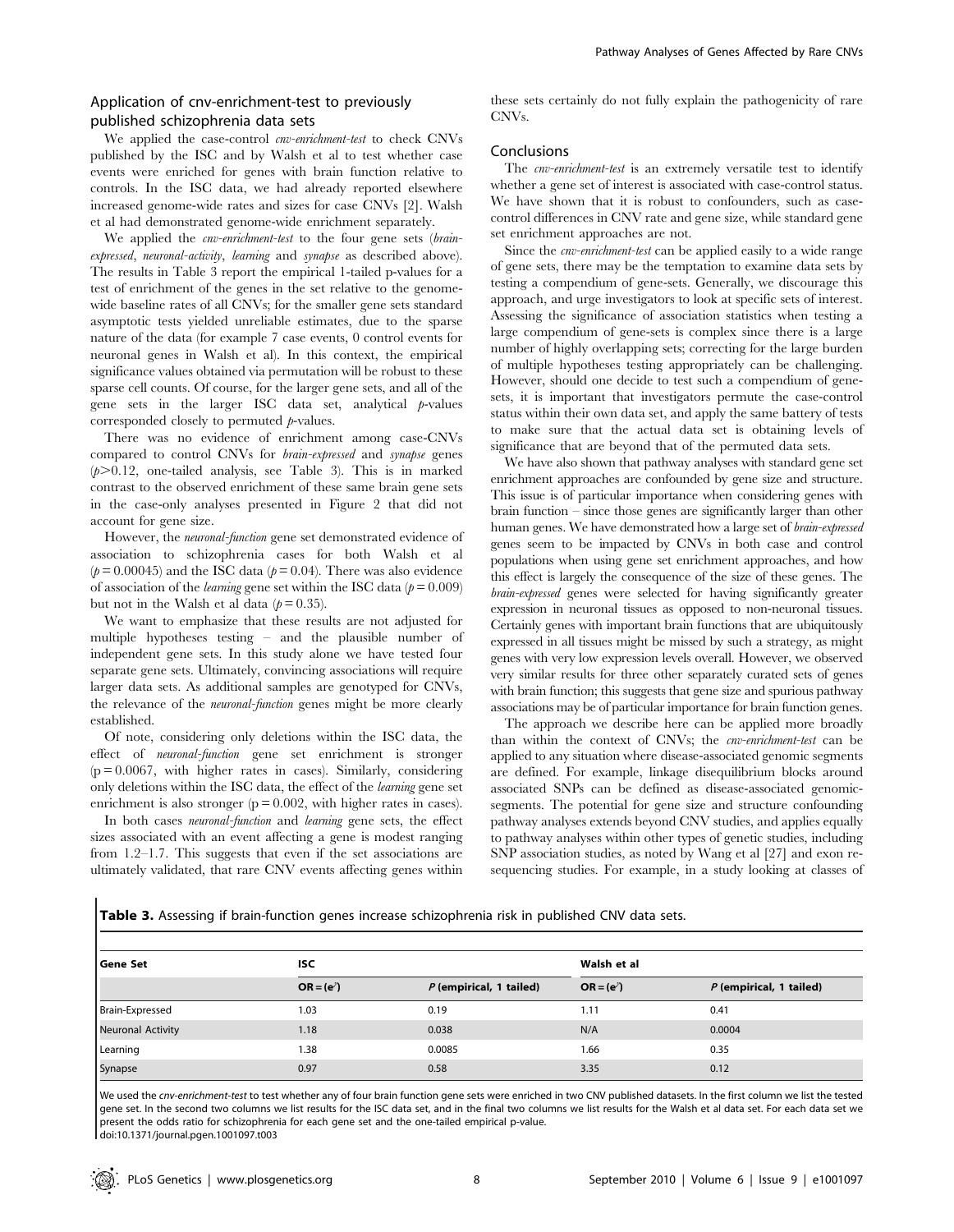# Application of cnv-enrichment-test to previously published schizophrenia data sets

We applied the case-control *cnv-enrichment-test* to check CNVs published by the ISC and by Walsh et al to test whether case events were enriched for genes with brain function relative to controls. In the ISC data, we had already reported elsewhere increased genome-wide rates and sizes for case CNVs [2]. Walsh et al had demonstrated genome-wide enrichment separately.

We applied the *cnv-enrichment-test* to the four gene sets (brainexpressed, neuronal-activity, learning and synapse as described above). The results in Table 3 report the empirical 1-tailed p-values for a test of enrichment of the genes in the set relative to the genomewide baseline rates of all CNVs; for the smaller gene sets standard asymptotic tests yielded unreliable estimates, due to the sparse nature of the data (for example 7 case events, 0 control events for neuronal genes in Walsh et al). In this context, the empirical significance values obtained via permutation will be robust to these sparse cell counts. Of course, for the larger gene sets, and all of the gene sets in the larger ISC data set, analytical  $p$ -values corresponded closely to permuted  $p$ -values.

There was no evidence of enrichment among case-CNVs compared to control CNVs for brain-expressed and synapse genes  $(p>0.12$ , one-tailed analysis, see Table 3). This is in marked contrast to the observed enrichment of these same brain gene sets in the case-only analyses presented in Figure 2 that did not account for gene size.

However, the neuronal-function gene set demonstrated evidence of association to schizophrenia cases for both Walsh et al  $(p= 0.00045)$  and the ISC data  $(p= 0.04)$ . There was also evidence of association of the *learning* gene set within the ISC data ( $p = 0.009$ ) but not in the Walsh et al data  $(p=0.35)$ .

We want to emphasize that these results are not adjusted for multiple hypotheses testing – and the plausible number of independent gene sets. In this study alone we have tested four separate gene sets. Ultimately, convincing associations will require larger data sets. As additional samples are genotyped for CNVs, the relevance of the neuronal-function genes might be more clearly established.

Of note, considering only deletions within the ISC data, the effect of neuronal-function gene set enrichment is stronger  $(p = 0.0067$ , with higher rates in cases). Similarly, considering only deletions within the ISC data, the effect of the learning gene set enrichment is also stronger  $(p = 0.002$ , with higher rates in cases).

In both cases neuronal-function and learning gene sets, the effect sizes associated with an event affecting a gene is modest ranging from 1.2–1.7. This suggests that even if the set associations are ultimately validated, that rare CNV events affecting genes within these sets certainly do not fully explain the pathogenicity of rare CNVs.

#### Conclusions

The *cnv-enrichment-test* is an extremely versatile test to identify whether a gene set of interest is associated with case-control status. We have shown that it is robust to confounders, such as casecontrol differences in CNV rate and gene size, while standard gene set enrichment approaches are not.

Since the cnv-enrichment-test can be applied easily to a wide range of gene sets, there may be the temptation to examine data sets by testing a compendium of gene-sets. Generally, we discourage this approach, and urge investigators to look at specific sets of interest. Assessing the significance of association statistics when testing a large compendium of gene-sets is complex since there is a large number of highly overlapping sets; correcting for the large burden of multiple hypotheses testing appropriately can be challenging. However, should one decide to test such a compendium of genesets, it is important that investigators permute the case-control status within their own data set, and apply the same battery of tests to make sure that the actual data set is obtaining levels of significance that are beyond that of the permuted data sets.

We have also shown that pathway analyses with standard gene set enrichment approaches are confounded by gene size and structure. This issue is of particular importance when considering genes with brain function – since those genes are significantly larger than other human genes. We have demonstrated how a large set of brain-expressed genes seem to be impacted by CNVs in both case and control populations when using gene set enrichment approaches, and how this effect is largely the consequence of the size of these genes. The brain-expressed genes were selected for having significantly greater expression in neuronal tissues as opposed to non-neuronal tissues. Certainly genes with important brain functions that are ubiquitously expressed in all tissues might be missed by such a strategy, as might genes with very low expression levels overall. However, we observed very similar results for three other separately curated sets of genes with brain function; this suggests that gene size and spurious pathway associations may be of particular importance for brain function genes.

The approach we describe here can be applied more broadly than within the context of CNVs; the cnv-enrichment-test can be applied to any situation where disease-associated genomic segments are defined. For example, linkage disequilibrium blocks around associated SNPs can be defined as disease-associated genomicsegments. The potential for gene size and structure confounding pathway analyses extends beyond CNV studies, and applies equally to pathway analyses within other types of genetic studies, including SNP association studies, as noted by Wang et al [27] and exon resequencing studies. For example, in a study looking at classes of

Table 3. Assessing if brain-function genes increase schizophrenia risk in published CNV data sets.

| Gene Set                 | <b>ISC</b>          |                           |                     | Walsh et al               |  |
|--------------------------|---------------------|---------------------------|---------------------|---------------------------|--|
|                          | $OR = (e^{\gamma})$ | $P$ (empirical, 1 tailed) | $OR = (e^{\gamma})$ | $P$ (empirical, 1 tailed) |  |
| <b>Brain-Expressed</b>   | 1.03                | 0.19                      | 1.11                | 0.41                      |  |
| <b>Neuronal Activity</b> | 1.18                | 0.038                     | N/A                 | 0.0004                    |  |
| Learning                 | 1.38                | 0.0085                    | 1.66                | 0.35                      |  |
| Synapse                  | 0.97                | 0.58                      | 3.35                | 0.12                      |  |

We used the cnv-enrichment-test to test whether any of four brain function gene sets were enriched in two CNV published datasets. In the first column we list the tested gene set. In the second two columns we list results for the ISC data set, and in the final two columns we list results for the Walsh et al data set. For each data set we present the odds ratio for schizophrenia for each gene set and the one-tailed empirical p-value. doi:10.1371/journal.pgen.1001097.t003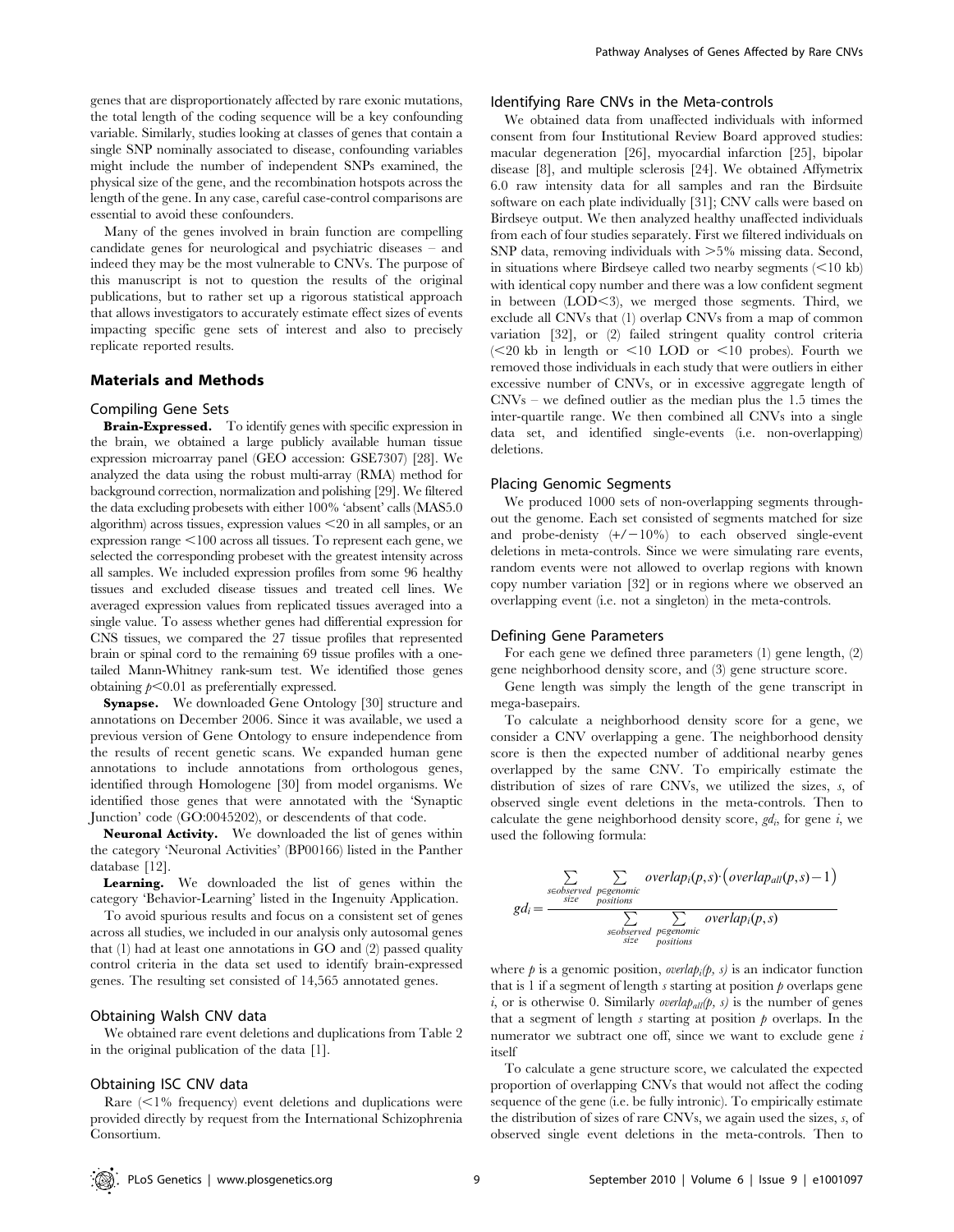genes that are disproportionately affected by rare exonic mutations, the total length of the coding sequence will be a key confounding variable. Similarly, studies looking at classes of genes that contain a single SNP nominally associated to disease, confounding variables might include the number of independent SNPs examined, the physical size of the gene, and the recombination hotspots across the length of the gene. In any case, careful case-control comparisons are essential to avoid these confounders.

Many of the genes involved in brain function are compelling candidate genes for neurological and psychiatric diseases – and indeed they may be the most vulnerable to CNVs. The purpose of this manuscript is not to question the results of the original publications, but to rather set up a rigorous statistical approach that allows investigators to accurately estimate effect sizes of events impacting specific gene sets of interest and also to precisely replicate reported results.

## Materials and Methods

#### Compiling Gene Sets

Brain-Expressed. To identify genes with specific expression in the brain, we obtained a large publicly available human tissue expression microarray panel (GEO accession: GSE7307) [28]. We analyzed the data using the robust multi-array (RMA) method for background correction, normalization and polishing [29]. We filtered the data excluding probesets with either 100% 'absent' calls (MAS5.0 algorithm) across tissues, expression values  $\leq$ 20 in all samples, or an expression range  $<$ 100 across all tissues. To represent each gene, we selected the corresponding probeset with the greatest intensity across all samples. We included expression profiles from some 96 healthy tissues and excluded disease tissues and treated cell lines. We averaged expression values from replicated tissues averaged into a single value. To assess whether genes had differential expression for CNS tissues, we compared the 27 tissue profiles that represented brain or spinal cord to the remaining 69 tissue profiles with a onetailed Mann-Whitney rank-sum test. We identified those genes obtaining  $p<0.01$  as preferentially expressed.

Synapse. We downloaded Gene Ontology [30] structure and annotations on December 2006. Since it was available, we used a previous version of Gene Ontology to ensure independence from the results of recent genetic scans. We expanded human gene annotations to include annotations from orthologous genes, identified through Homologene [30] from model organisms. We identified those genes that were annotated with the 'Synaptic Junction' code (GO:0045202), or descendents of that code.

Neuronal Activity. We downloaded the list of genes within the category 'Neuronal Activities' (BP00166) listed in the Panther database [12].

Learning. We downloaded the list of genes within the category 'Behavior-Learning' listed in the Ingenuity Application.

To avoid spurious results and focus on a consistent set of genes across all studies, we included in our analysis only autosomal genes that (1) had at least one annotations in GO and (2) passed quality control criteria in the data set used to identify brain-expressed genes. The resulting set consisted of 14,565 annotated genes.

#### Obtaining Walsh CNV data

We obtained rare event deletions and duplications from Table 2 in the original publication of the data [1].

#### Obtaining ISC CNV data

Rare  $\leq$ 1% frequency) event deletions and duplications were provided directly by request from the International Schizophrenia Consortium.

#### Identifying Rare CNVs in the Meta-controls

We obtained data from unaffected individuals with informed consent from four Institutional Review Board approved studies: macular degeneration [26], myocardial infarction [25], bipolar disease [8], and multiple sclerosis [24]. We obtained Affymetrix 6.0 raw intensity data for all samples and ran the Birdsuite software on each plate individually [31]; CNV calls were based on Birdseye output. We then analyzed healthy unaffected individuals from each of four studies separately. First we filtered individuals on SNP data, removing individuals with  $>5\%$  missing data. Second, in situations where Birdseye called two nearby segments  $(< 10 \text{ kb}$ ) with identical copy number and there was a low confident segment in between  $(LOD<3)$ , we merged those segments. Third, we exclude all CNVs that (1) overlap CNVs from a map of common variation [32], or (2) failed stringent quality control criteria  $\approx$  10 kb in length or  $\leq$  10 LOD or  $\leq$  10 probes). Fourth we removed those individuals in each study that were outliers in either excessive number of CNVs, or in excessive aggregate length of CNVs – we defined outlier as the median plus the 1.5 times the inter-quartile range. We then combined all CNVs into a single data set, and identified single-events (i.e. non-overlapping) deletions.

# Placing Genomic Segments

We produced 1000 sets of non-overlapping segments throughout the genome. Each set consisted of segments matched for size and probe-denisty  $(+/-10\%)$  to each observed single-event deletions in meta-controls. Since we were simulating rare events, random events were not allowed to overlap regions with known copy number variation [32] or in regions where we observed an overlapping event (i.e. not a singleton) in the meta-controls.

#### Defining Gene Parameters

For each gene we defined three parameters (1) gene length, (2) gene neighborhood density score, and (3) gene structure score.

Gene length was simply the length of the gene transcript in mega-basepairs.

To calculate a neighborhood density score for a gene, we consider a CNV overlapping a gene. The neighborhood density score is then the expected number of additional nearby genes overlapped by the same CNV. To empirically estimate the distribution of sizes of rare CNVs, we utilized the sizes, s, of observed single event deletions in the meta-controls. Then to calculate the gene neighborhood density score,  $gd_i$ , for gene  $i$ , we used the following formula:

$$
gd_i = \frac{\sum_{\substack{\text{seobserved}}{\text{systemomic} \text{postions} \\\text{positions}}}}{\sum_{\substack{\text{seoberved}}{\text{postions} \\\text{seoberved} \text{pecomic} \\\text{size} \text{positions}}}
$$

where  $p$  is a genomic position, *overlap<sub>i</sub>*( $p$ ,  $s$ ) is an indicator function that is 1 if a segment of length  $s$  starting at position  $p$  overlaps gene i, or is otherwise 0. Similarly *overlap<sub>all</sub>* $(p, s)$  is the number of genes that a segment of length s starting at position  $\hat{p}$  overlaps. In the numerator we subtract one off, since we want to exclude gene  $i$ itself

To calculate a gene structure score, we calculated the expected proportion of overlapping CNVs that would not affect the coding sequence of the gene (i.e. be fully intronic). To empirically estimate the distribution of sizes of rare CNVs, we again used the sizes, s, of observed single event deletions in the meta-controls. Then to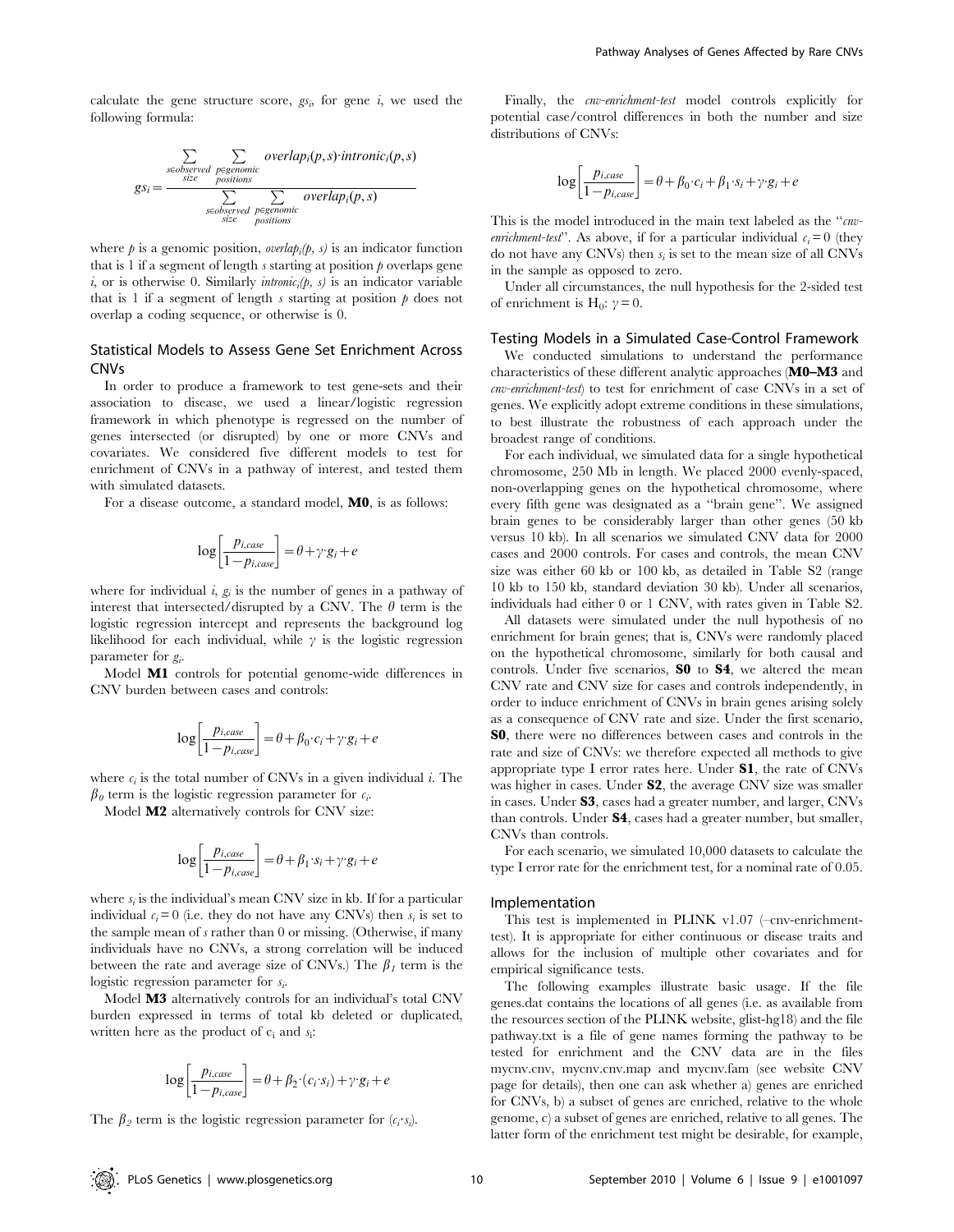calculate the gene structure score,  $gs_i$ , for gene i, we used the following formula:

$$
gs_i = \frac{\sum\limits_{\text{seobserved}} \sum\limits_{\text{pogenous}} overlap_i(p, s) \cdot intronic_i(p, s)}{\sum\limits_{\text{seobserved}} \sum\limits_{\text{pogenous}} overlap_i(p, s)} \frac{\sum\limits_{\text{vectors}} \sum\limits_{\text{pogenous}} overlap_i(p, s)}{\sum\limits_{\text{stze}} \sum\limits_{\text{positions}} overlap_i(p, s)}
$$

where  $p$  is a genomic position, *overlap<sub>i</sub>*( $p$ ,  $s$ ) is an indicator function that is 1 if a segment of length  $s$  starting at position  $p$  overlaps gene i, or is otherwise 0. Similarly intronic<sub>i</sub> $(p, s)$  is an indicator variable that is 1 if a segment of length s starting at position  $\phi$  does not overlap a coding sequence, or otherwise is 0.

# Statistical Models to Assess Gene Set Enrichment Across CNVs

In order to produce a framework to test gene-sets and their association to disease, we used a linear/logistic regression framework in which phenotype is regressed on the number of genes intersected (or disrupted) by one or more CNVs and covariates. We considered five different models to test for enrichment of CNVs in a pathway of interest, and tested them with simulated datasets.

For a disease outcome, a standard model, M0, is as follows:

$$
\log\left[\frac{p_{i, case}}{1-p_{i, case}}\right] = \theta + \gamma \cdot g_i + e
$$

where for individual i,  $g_i$  is the number of genes in a pathway of interest that intersected/disrupted by a CNV. The  $\theta$  term is the logistic regression intercept and represents the background log likelihood for each individual, while  $\gamma$  is the logistic regression parameter for  $g_i$ .

Model M1 controls for potential genome-wide differences in CNV burden between cases and controls:

$$
\log\left[\frac{p_{i, case}}{1 - p_{i, case}}\right] = \theta + \beta_0 \cdot c_i + \gamma \cdot g_i + e
$$

where  $c_i$  is the total number of CNVs in a given individual i. The  $\beta_0$  term is the logistic regression parameter for  $c_i$ .

Model M2 alternatively controls for CNV size:

$$
\log\left[\frac{p_{i, case}}{1 - p_{i, case}}\right] = \theta + \beta_1 \cdot s_i + \gamma \cdot g_i + e
$$

where  $s_i$  is the individual's mean CNV size in kb. If for a particular individual  $c_i = 0$  (i.e. they do not have any CNVs) then  $s_i$  is set to the sample mean of s rather than 0 or missing. (Otherwise, if many individuals have no CNVs, a strong correlation will be induced between the rate and average size of CNVs.) The  $\beta_1$  term is the logistic regression parameter for  $s_i$ .

Model M3 alternatively controls for an individual's total CNV burden expressed in terms of total kb deleted or duplicated, written here as the product of  $c_i$  and  $s_i$ :

$$
\log\left[\frac{p_{i, case}}{1-p_{i, case}}\right] = \theta + \beta_2 \cdot (c_i \cdot s_i) + \gamma \cdot g_i + e
$$

The  $\beta_2$  term is the logistic regression parameter for  $(c_i \cdot s_i)$ .

Finally, the cnv-enrichment-test model controls explicitly for potential case/control differences in both the number and size distributions of CNVs:

$$
\log\left[\frac{p_{i, case}}{1-p_{i, case}}\right] = \theta + \beta_0 \cdot c_i + \beta_1 \cdot s_i + \gamma \cdot g_i + e
$$

This is the model introduced in the main text labeled as the "cnvenrichment-test". As above, if for a particular individual  $c_i = 0$  (they do not have any CNVs) then  $s_i$  is set to the mean size of all CNVs in the sample as opposed to zero.

Under all circumstances, the null hypothesis for the 2-sided test of enrichment is H<sub>0</sub>:  $\gamma = 0$ .

#### Testing Models in a Simulated Case-Control Framework

We conducted simulations to understand the performance characteristics of these different analytic approaches (M0–M3 and cnv-enrichment-test) to test for enrichment of case CNVs in a set of genes. We explicitly adopt extreme conditions in these simulations, to best illustrate the robustness of each approach under the broadest range of conditions.

For each individual, we simulated data for a single hypothetical chromosome, 250 Mb in length. We placed 2000 evenly-spaced, non-overlapping genes on the hypothetical chromosome, where every fifth gene was designated as a ''brain gene''. We assigned brain genes to be considerably larger than other genes (50 kb versus 10 kb). In all scenarios we simulated CNV data for 2000 cases and 2000 controls. For cases and controls, the mean CNV size was either 60 kb or 100 kb, as detailed in Table S2 (range 10 kb to 150 kb, standard deviation 30 kb). Under all scenarios, individuals had either 0 or 1 CNV, with rates given in Table S2.

All datasets were simulated under the null hypothesis of no enrichment for brain genes; that is, CNVs were randomly placed on the hypothetical chromosome, similarly for both causal and controls. Under five scenarios, **S0** to **S4**, we altered the mean CNV rate and CNV size for cases and controls independently, in order to induce enrichment of CNVs in brain genes arising solely as a consequence of CNV rate and size. Under the first scenario, S0, there were no differences between cases and controls in the rate and size of CNVs: we therefore expected all methods to give appropriate type I error rates here. Under S1, the rate of CNVs was higher in cases. Under S2, the average CNV size was smaller in cases. Under S3, cases had a greater number, and larger, CNVs than controls. Under S4, cases had a greater number, but smaller, CNVs than controls.

For each scenario, we simulated 10,000 datasets to calculate the type I error rate for the enrichment test, for a nominal rate of 0.05.

#### Implementation

This test is implemented in PLINK v1.07 (–cnv-enrichmenttest). It is appropriate for either continuous or disease traits and allows for the inclusion of multiple other covariates and for empirical significance tests.

The following examples illustrate basic usage. If the file genes.dat contains the locations of all genes (i.e. as available from the resources section of the PLINK website, glist-hg18) and the file pathway.txt is a file of gene names forming the pathway to be tested for enrichment and the CNV data are in the files mycnv.cnv, mycnv.cnv.map and mycnv.fam (see website CNV page for details), then one can ask whether a) genes are enriched for CNVs, b) a subset of genes are enriched, relative to the whole genome, c) a subset of genes are enriched, relative to all genes. The latter form of the enrichment test might be desirable, for example,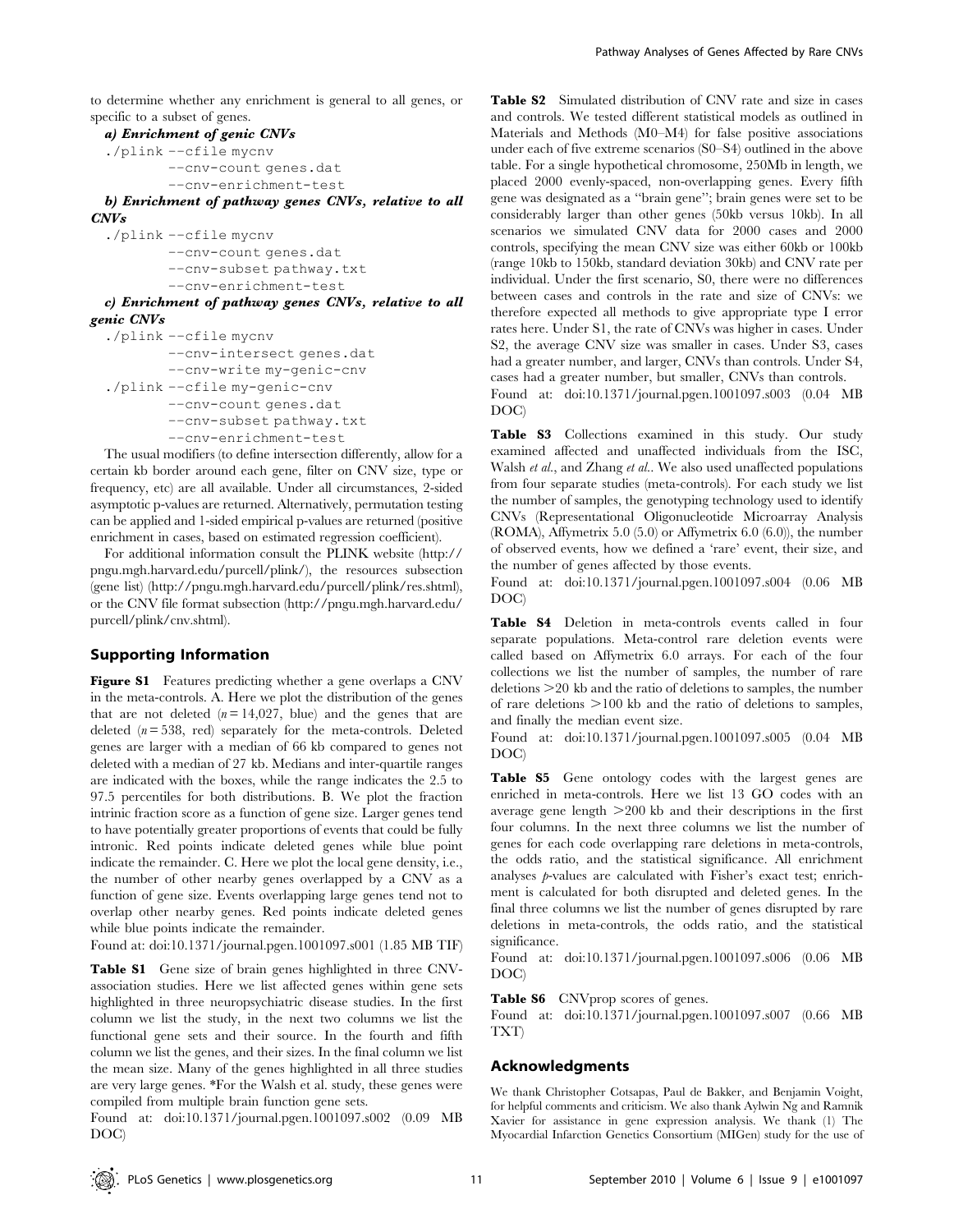to determine whether any enrichment is general to all genes, or specific to a subset of genes.

## a) Enrichment of genic CNVs

./plink ––cfile mycnv ––cnv-count genes.dat ––cnv-enrichment-test

b) Enrichment of pathway genes CNVs, relative to all CNVs

```
./plink ––cfile mycnv
       ––cnv-count genes.dat
       ––cnv-subset pathway.txt
       ––cnv-enrichment-test
```
c) Enrichment of pathway genes CNVs, relative to all genic CNVs

```
./plink ––cfile mycnv
       ––cnv-intersect genes.dat
       ––cnv-write my-genic-cnv
./plink ––cfile my-genic-cnv
       ––cnv-count genes.dat
       ––cnv-subset pathway.txt
       ––cnv-enrichment-test
```
The usual modifiers (to define intersection differently, allow for a certain kb border around each gene, filter on CNV size, type or frequency, etc) are all available. Under all circumstances, 2-sided asymptotic p-values are returned. Alternatively, permutation testing can be applied and 1-sided empirical p-values are returned (positive enrichment in cases, based on estimated regression coefficient).

For additional information consult the PLINK website (http:// pngu.mgh.harvard.edu/purcell/plink/), the resources subsection (gene list) (http://pngu.mgh.harvard.edu/purcell/plink/res.shtml), or the CNV file format subsection (http://pngu.mgh.harvard.edu/ purcell/plink/cnv.shtml).

# Supporting Information

Figure S1 Features predicting whether a gene overlaps a CNV in the meta-controls. A. Here we plot the distribution of the genes that are not deleted  $(n = 14,027, blue)$  and the genes that are deleted  $(n = 538, \text{ red})$  separately for the meta-controls. Deleted genes are larger with a median of 66 kb compared to genes not deleted with a median of 27 kb. Medians and inter-quartile ranges are indicated with the boxes, while the range indicates the 2.5 to 97.5 percentiles for both distributions. B. We plot the fraction intrinic fraction score as a function of gene size. Larger genes tend to have potentially greater proportions of events that could be fully intronic. Red points indicate deleted genes while blue point indicate the remainder. C. Here we plot the local gene density, i.e., the number of other nearby genes overlapped by a CNV as a function of gene size. Events overlapping large genes tend not to overlap other nearby genes. Red points indicate deleted genes while blue points indicate the remainder.

Found at: doi:10.1371/journal.pgen.1001097.s001 (1.85 MB TIF)

Table S1 Gene size of brain genes highlighted in three CNVassociation studies. Here we list affected genes within gene sets highlighted in three neuropsychiatric disease studies. In the first column we list the study, in the next two columns we list the functional gene sets and their source. In the fourth and fifth column we list the genes, and their sizes. In the final column we list the mean size. Many of the genes highlighted in all three studies are very large genes. \*For the Walsh et al. study, these genes were compiled from multiple brain function gene sets.

Found at: doi:10.1371/journal.pgen.1001097.s002 (0.09 MB DOC)

Table S2 Simulated distribution of CNV rate and size in cases and controls. We tested different statistical models as outlined in Materials and Methods (M0–M4) for false positive associations under each of five extreme scenarios (S0–S4) outlined in the above table. For a single hypothetical chromosome, 250Mb in length, we placed 2000 evenly-spaced, non-overlapping genes. Every fifth gene was designated as a ''brain gene''; brain genes were set to be considerably larger than other genes (50kb versus 10kb). In all scenarios we simulated CNV data for 2000 cases and 2000 controls, specifying the mean CNV size was either 60kb or 100kb (range 10kb to 150kb, standard deviation 30kb) and CNV rate per individual. Under the first scenario, S0, there were no differences between cases and controls in the rate and size of CNVs: we therefore expected all methods to give appropriate type I error rates here. Under S1, the rate of CNVs was higher in cases. Under S2, the average CNV size was smaller in cases. Under S3, cases had a greater number, and larger, CNVs than controls. Under S4, cases had a greater number, but smaller, CNVs than controls. Found at: doi:10.1371/journal.pgen.1001097.s003 (0.04 MB

DOC)

Table S3 Collections examined in this study. Our study examined affected and unaffected individuals from the ISC, Walsh et al., and Zhang et al.. We also used unaffected populations from four separate studies (meta-controls). For each study we list the number of samples, the genotyping technology used to identify CNVs (Representational Oligonucleotide Microarray Analysis (ROMA), Affymetrix 5.0 (5.0) or Affymetrix 6.0 (6.0)), the number of observed events, how we defined a 'rare' event, their size, and the number of genes affected by those events.

Found at: doi:10.1371/journal.pgen.1001097.s004 (0.06 MB DOC)

Table S4 Deletion in meta-controls events called in four separate populations. Meta-control rare deletion events were called based on Affymetrix 6.0 arrays. For each of the four collections we list the number of samples, the number of rare deletions  $>20$  kb and the ratio of deletions to samples, the number of rare deletions  $>100$  kb and the ratio of deletions to samples, and finally the median event size.

Found at: doi:10.1371/journal.pgen.1001097.s005 (0.04 MB DOC)

Table S5 Gene ontology codes with the largest genes are enriched in meta-controls. Here we list 13 GO codes with an average gene length  $>200$  kb and their descriptions in the first four columns. In the next three columns we list the number of genes for each code overlapping rare deletions in meta-controls, the odds ratio, and the statistical significance. All enrichment analyses p-values are calculated with Fisher's exact test; enrichment is calculated for both disrupted and deleted genes. In the final three columns we list the number of genes disrupted by rare deletions in meta-controls, the odds ratio, and the statistical significance.

Found at: doi:10.1371/journal.pgen.1001097.s006 (0.06 MB DOC)

Table S6 CNVprop scores of genes.

Found at: doi:10.1371/journal.pgen.1001097.s007 (0.66 MB TXT)

## Acknowledgments

We thank Christopher Cotsapas, Paul de Bakker, and Benjamin Voight, for helpful comments and criticism. We also thank Aylwin Ng and Ramnik Xavier for assistance in gene expression analysis. We thank (1) The Myocardial Infarction Genetics Consortium (MIGen) study for the use of